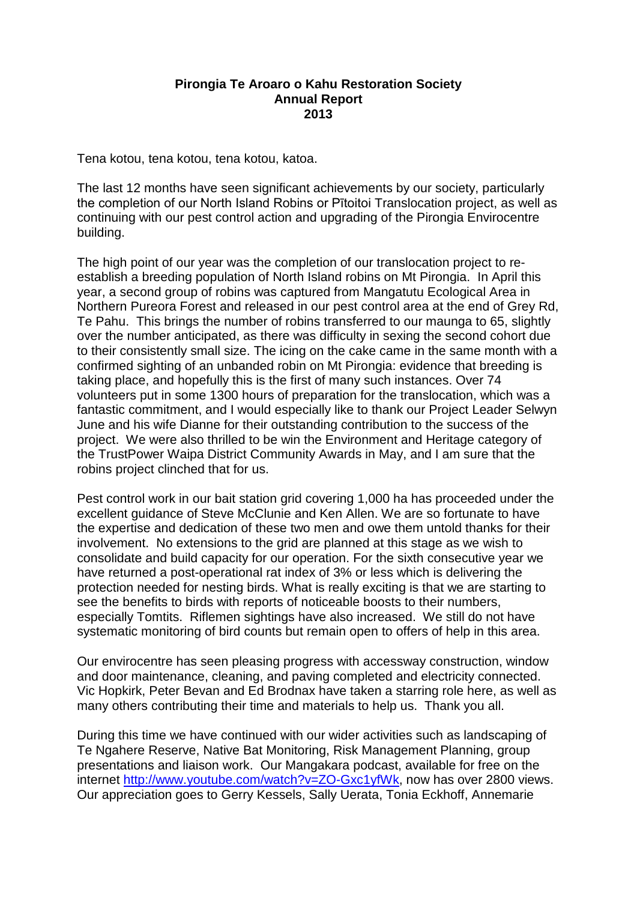## **Pirongia Te Aroaro o Kahu Restoration Society Annual Report 2013**

Tena kotou, tena kotou, tena kotou, katoa.

The last 12 months have seen significant achievements by our society, particularly the completion of our North Island Robins or Pītoitoi Translocation project, as well as continuing with our pest control action and upgrading of the Pirongia Envirocentre building.

The high point of our year was the completion of our translocation project to reestablish a breeding population of North Island robins on Mt Pirongia. In April this year, a second group of robins was captured from Mangatutu Ecological Area in Northern Pureora Forest and released in our pest control area at the end of Grey Rd, Te Pahu. This brings the number of robins transferred to our maunga to 65, slightly over the number anticipated, as there was difficulty in sexing the second cohort due to their consistently small size. The icing on the cake came in the same month with a confirmed sighting of an unbanded robin on Mt Pirongia: evidence that breeding is taking place, and hopefully this is the first of many such instances. Over 74 volunteers put in some 1300 hours of preparation for the translocation, which was a fantastic commitment, and I would especially like to thank our Project Leader Selwyn June and his wife Dianne for their outstanding contribution to the success of the project. We were also thrilled to be win the Environment and Heritage category of the TrustPower Waipa District Community Awards in May, and I am sure that the robins project clinched that for us.

Pest control work in our bait station grid covering 1,000 ha has proceeded under the excellent guidance of Steve McClunie and Ken Allen. We are so fortunate to have the expertise and dedication of these two men and owe them untold thanks for their involvement. No extensions to the grid are planned at this stage as we wish to consolidate and build capacity for our operation. For the sixth consecutive year we have returned a post-operational rat index of 3% or less which is delivering the protection needed for nesting birds. What is really exciting is that we are starting to see the benefits to birds with reports of noticeable boosts to their numbers, especially Tomtits. Riflemen sightings have also increased. We still do not have systematic monitoring of bird counts but remain open to offers of help in this area.

Our envirocentre has seen pleasing progress with accessway construction, window and door maintenance, cleaning, and paving completed and electricity connected. Vic Hopkirk, Peter Bevan and Ed Brodnax have taken a starring role here, as well as many others contributing their time and materials to help us. Thank you all.

During this time we have continued with our wider activities such as landscaping of Te Ngahere Reserve, Native Bat Monitoring, Risk Management Planning, group presentations and liaison work. Our Mangakara podcast, available for free on the internet [http://www.youtube.com/watch?v=ZO-Gxc1yfWk,](http://www.youtube.com/watch?v=ZO-Gxc1yfWk) now has over 2800 views. Our appreciation goes to Gerry Kessels, Sally Uerata, Tonia Eckhoff, Annemarie